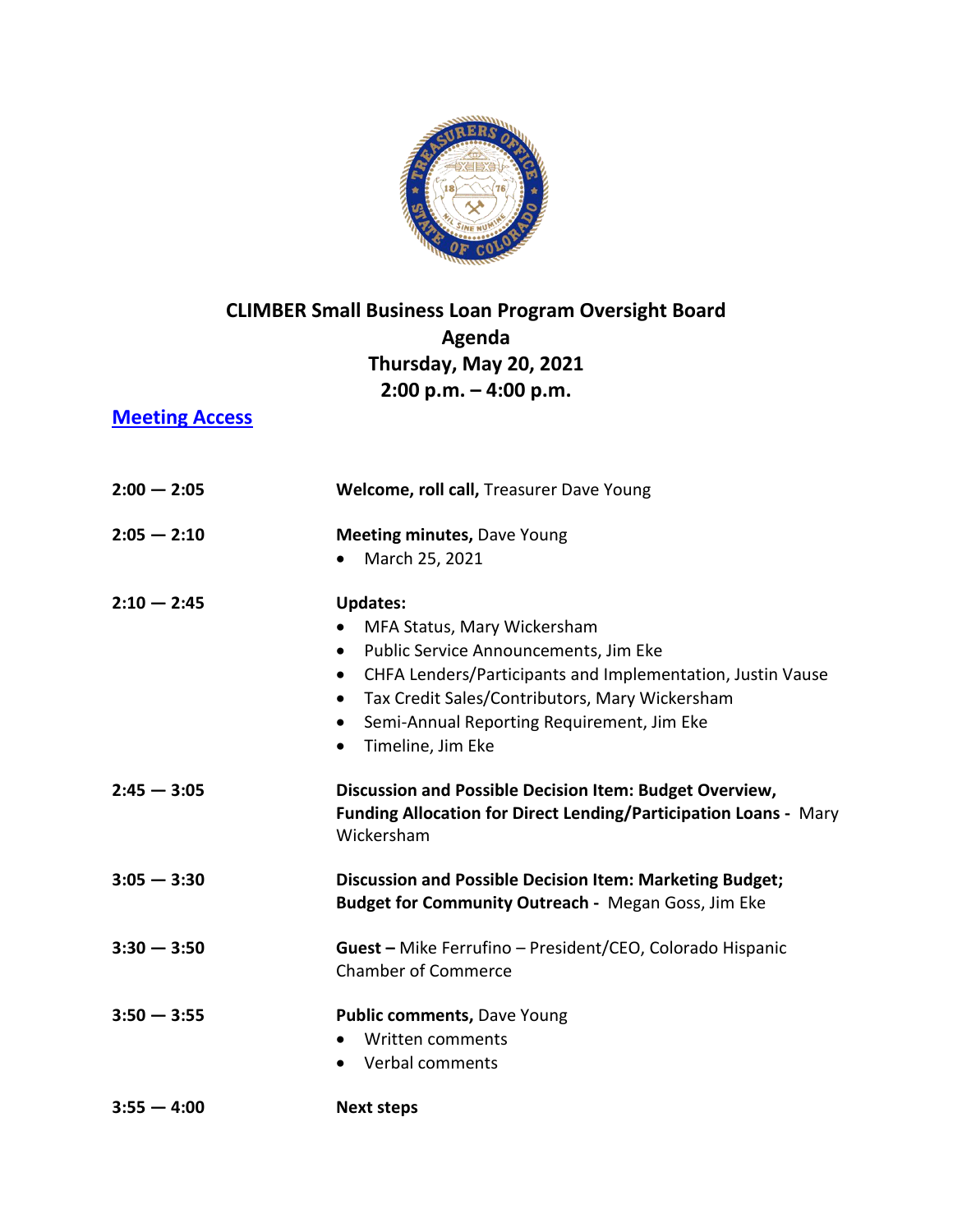

## **CLIMBER Small Business Loan Program Oversight Board Agenda Thursday, May 20, 2021 2:00 p.m. – 4:00 p.m.**

## **[Meeting Access](https://us02web.zoom.us/j/82985212129?pwd=TVdxTzNzYXVabUpuSjU4K0pUYU1idz09)**

| $2:00 - 2:05$ | Welcome, roll call, Treasurer Dave Young                                                                                                  |
|---------------|-------------------------------------------------------------------------------------------------------------------------------------------|
| $2:05 - 2:10$ | <b>Meeting minutes, Dave Young</b>                                                                                                        |
|               | March 25, 2021<br>$\bullet$                                                                                                               |
| $2:10 - 2:45$ | <b>Updates:</b>                                                                                                                           |
|               | MFA Status, Mary Wickersham<br>$\bullet$                                                                                                  |
|               | Public Service Announcements, Jim Eke<br>$\bullet$                                                                                        |
|               | CHFA Lenders/Participants and Implementation, Justin Vause<br>$\bullet$                                                                   |
|               | Tax Credit Sales/Contributors, Mary Wickersham<br>$\bullet$                                                                               |
|               | Semi-Annual Reporting Requirement, Jim Eke<br>$\bullet$                                                                                   |
|               | Timeline, Jim Eke<br>$\bullet$                                                                                                            |
| $2:45 - 3:05$ | Discussion and Possible Decision Item: Budget Overview,<br>Funding Allocation for Direct Lending/Participation Loans - Mary<br>Wickersham |
| $3:05 - 3:30$ | <b>Discussion and Possible Decision Item: Marketing Budget;</b><br>Budget for Community Outreach - Megan Goss, Jim Eke                    |
| $3:30 - 3:50$ | Guest - Mike Ferrufino - President/CEO, Colorado Hispanic                                                                                 |
|               | <b>Chamber of Commerce</b>                                                                                                                |
| $3:50 - 3:55$ | Public comments, Dave Young                                                                                                               |
|               | Written comments<br>$\bullet$                                                                                                             |
|               | • Verbal comments                                                                                                                         |
| $3:55 - 4:00$ | <b>Next steps</b>                                                                                                                         |